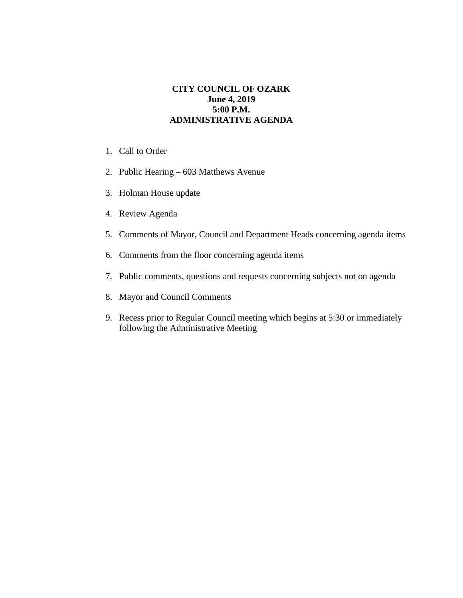## **CITY COUNCIL OF OZARK June 4, 2019 5:00 P.M. ADMINISTRATIVE AGENDA**

- 1. Call to Order
- 2. Public Hearing 603 Matthews Avenue
- 3. Holman House update
- 4. Review Agenda
- 5. Comments of Mayor, Council and Department Heads concerning agenda items
- 6. Comments from the floor concerning agenda items
- 7. Public comments, questions and requests concerning subjects not on agenda
- 8. Mayor and Council Comments
- 9. Recess prior to Regular Council meeting which begins at 5:30 or immediately following the Administrative Meeting